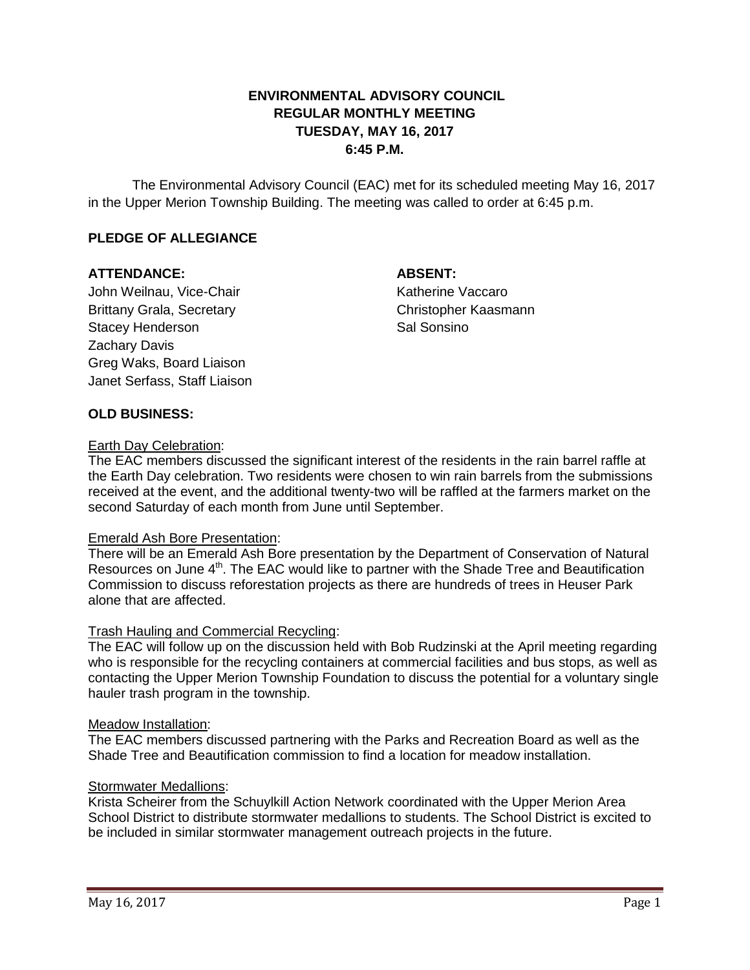# **ENVIRONMENTAL ADVISORY COUNCIL REGULAR MONTHLY MEETING TUESDAY, MAY 16, 2017 6:45 P.M.**

The Environmental Advisory Council (EAC) met for its scheduled meeting May 16, 2017 in the Upper Merion Township Building. The meeting was called to order at 6:45 p.m.

# **PLEDGE OF ALLEGIANCE**

## **ATTENDANCE: ABSENT:**

John Weilnau, Vice-Chair Natherine Vaccaro Brittany Grala, Secretary Christopher Kaasmann Stacey Henderson Stacey Sal Sonsino Zachary Davis Greg Waks, Board Liaison Janet Serfass, Staff Liaison

## **OLD BUSINESS:**

### Earth Day Celebration:

The EAC members discussed the significant interest of the residents in the rain barrel raffle at the Earth Day celebration. Two residents were chosen to win rain barrels from the submissions received at the event, and the additional twenty-two will be raffled at the farmers market on the second Saturday of each month from June until September.

### Emerald Ash Bore Presentation:

There will be an Emerald Ash Bore presentation by the Department of Conservation of Natural Resources on June 4<sup>th</sup>. The EAC would like to partner with the Shade Tree and Beautification Commission to discuss reforestation projects as there are hundreds of trees in Heuser Park alone that are affected.

### Trash Hauling and Commercial Recycling:

The EAC will follow up on the discussion held with Bob Rudzinski at the April meeting regarding who is responsible for the recycling containers at commercial facilities and bus stops, as well as contacting the Upper Merion Township Foundation to discuss the potential for a voluntary single hauler trash program in the township.

#### Meadow Installation:

The EAC members discussed partnering with the Parks and Recreation Board as well as the Shade Tree and Beautification commission to find a location for meadow installation.

## **Stormwater Medallions:**

Krista Scheirer from the Schuylkill Action Network coordinated with the Upper Merion Area School District to distribute stormwater medallions to students. The School District is excited to be included in similar stormwater management outreach projects in the future.